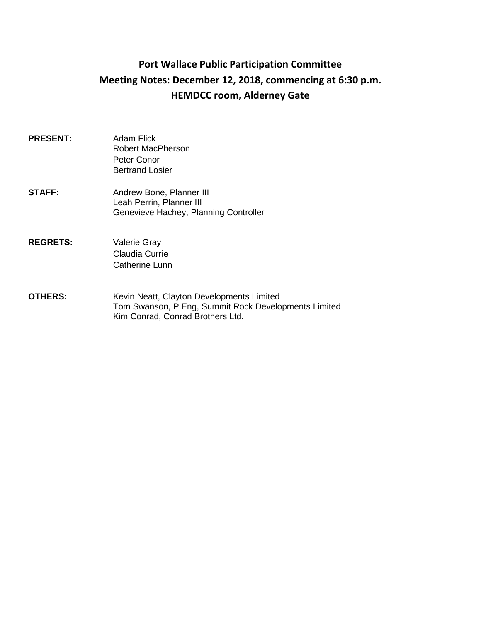# **Port Wallace Public Participation Committee Meeting Notes: December 12, 2018, commencing at 6:30 p.m. HEMDCC room, Alderney Gate**

- **PRESENT:** Adam Flick Robert MacPherson Peter Conor Bertrand Losier
- **STAFF:** Andrew Bone, Planner III Leah Perrin, Planner III Genevieve Hachey, Planning Controller
- **REGRETS:** Valerie Gray Claudia Currie Catherine Lunn
- **OTHERS:** Kevin Neatt, Clayton Developments Limited Tom Swanson, P.Eng, Summit Rock Developments Limited Kim Conrad, Conrad Brothers Ltd.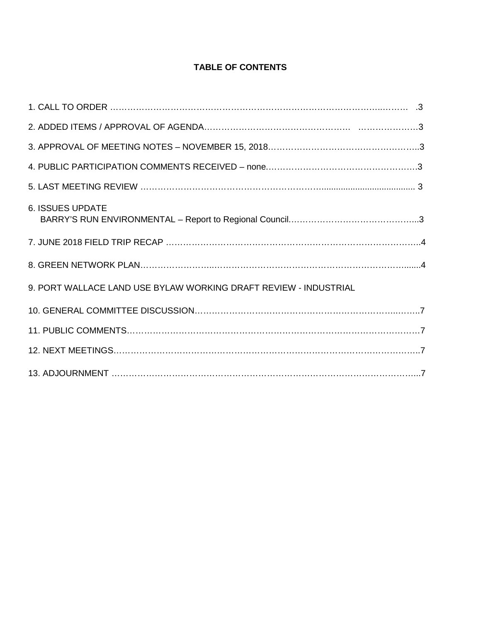# **TABLE OF CONTENTS**

| <b>6. ISSUES UPDATE</b>                                          |  |
|------------------------------------------------------------------|--|
|                                                                  |  |
|                                                                  |  |
| 9. PORT WALLACE LAND USE BYLAW WORKING DRAFT REVIEW - INDUSTRIAL |  |
|                                                                  |  |
|                                                                  |  |
|                                                                  |  |
|                                                                  |  |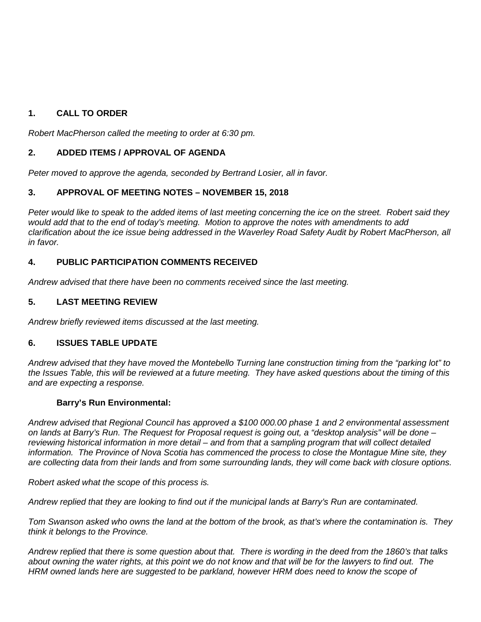# **1. CALL TO ORDER**

*Robert MacPherson called the meeting to order at 6:30 pm.* 

# **2. ADDED ITEMS / APPROVAL OF AGENDA**

*Peter moved to approve the agenda, seconded by Bertrand Losier, all in favor.*

# **3. APPROVAL OF MEETING NOTES – NOVEMBER 15, 2018**

*Peter would like to speak to the added items of last meeting concerning the ice on the street. Robert said they would add that to the end of today's meeting. Motion to approve the notes with amendments to add clarification about the ice issue being addressed in the Waverley Road Safety Audit by Robert MacPherson, all in favor.*

# **4. PUBLIC PARTICIPATION COMMENTS RECEIVED**

*Andrew advised that there have been no comments received since the last meeting.*

# **5. LAST MEETING REVIEW**

*Andrew briefly reviewed items discussed at the last meeting.*

# **6. ISSUES TABLE UPDATE**

*Andrew advised that they have moved the Montebello Turning lane construction timing from the "parking lot" to the Issues Table, this will be reviewed at a future meeting. They have asked questions about the timing of this and are expecting a response.* 

# **Barry's Run Environmental:**

*Andrew advised that Regional Council has approved a \$100 000.00 phase 1 and 2 environmental assessment on lands at Barry's Run. The Request for Proposal request is going out, a "desktop analysis" will be done – reviewing historical information in more detail – and from that a sampling program that will collect detailed information. The Province of Nova Scotia has commenced the process to close the Montague Mine site, they are collecting data from their lands and from some surrounding lands, they will come back with closure options.*

*Robert asked what the scope of this process is.*

*Andrew replied that they are looking to find out if the municipal lands at Barry's Run are contaminated.*

*Tom Swanson asked who owns the land at the bottom of the brook, as that's where the contamination is. They think it belongs to the Province.*

*Andrew replied that there is some question about that. There is wording in the deed from the 1860's that talks about owning the water rights, at this point we do not know and that will be for the lawyers to find out. The HRM owned lands here are suggested to be parkland, however HRM does need to know the scope of*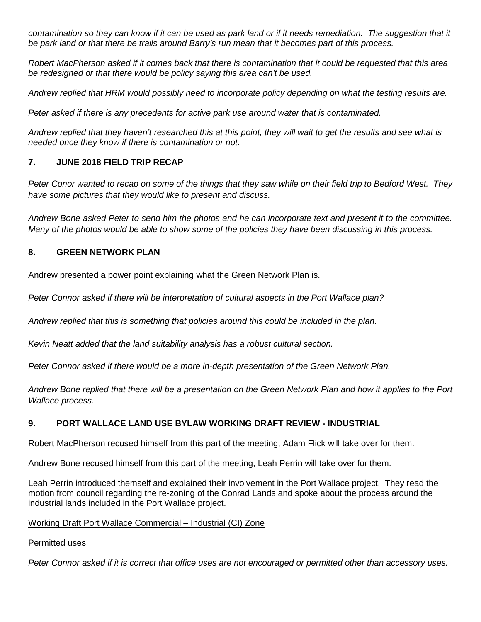contamination so they can know if it can be used as park land or if it needs remediation. The suggestion that it *be park land or that there be trails around Barry's run mean that it becomes part of this process.* 

*Robert MacPherson asked if it comes back that there is contamination that it could be requested that this area be redesigned or that there would be policy saying this area can't be used.*

*Andrew replied that HRM would possibly need to incorporate policy depending on what the testing results are.*

*Peter asked if there is any precedents for active park use around water that is contaminated.*

*Andrew replied that they haven't researched this at this point, they will wait to get the results and see what is needed once they know if there is contamination or not.*

# **7. JUNE 2018 FIELD TRIP RECAP**

*Peter Conor wanted to recap on some of the things that they saw while on their field trip to Bedford West. They have some pictures that they would like to present and discuss.*

*Andrew Bone asked Peter to send him the photos and he can incorporate text and present it to the committee. Many of the photos would be able to show some of the policies they have been discussing in this process.*

# **8. GREEN NETWORK PLAN**

Andrew presented a power point explaining what the Green Network Plan is.

*Peter Connor asked if there will be interpretation of cultural aspects in the Port Wallace plan?*

*Andrew replied that this is something that policies around this could be included in the plan.*

*Kevin Neatt added that the land suitability analysis has a robust cultural section.*

*Peter Connor asked if there would be a more in-depth presentation of the Green Network Plan.*

*Andrew Bone replied that there will be a presentation on the Green Network Plan and how it applies to the Port Wallace process.*

# **9. PORT WALLACE LAND USE BYLAW WORKING DRAFT REVIEW - INDUSTRIAL**

Robert MacPherson recused himself from this part of the meeting, Adam Flick will take over for them.

Andrew Bone recused himself from this part of the meeting, Leah Perrin will take over for them.

Leah Perrin introduced themself and explained their involvement in the Port Wallace project. They read the motion from council regarding the re-zoning of the Conrad Lands and spoke about the process around the industrial lands included in the Port Wallace project.

# Working Draft Port Wallace Commercial – Industrial (CI) Zone

# Permitted uses

*Peter Connor asked if it is correct that office uses are not encouraged or permitted other than accessory uses.*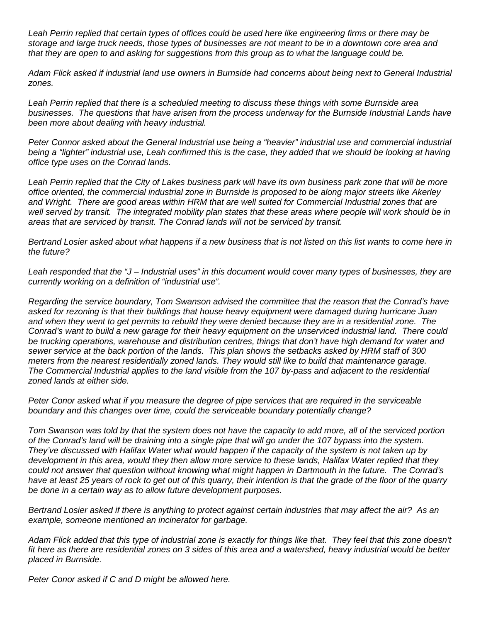*Leah Perrin replied that certain types of offices could be used here like engineering firms or there may be storage and large truck needs, those types of businesses are not meant to be in a downtown core area and that they are open to and asking for suggestions from this group as to what the language could be.*

*Adam Flick asked if industrial land use owners in Burnside had concerns about being next to General Industrial zones.*

*Leah Perrin replied that there is a scheduled meeting to discuss these things with some Burnside area businesses. The questions that have arisen from the process underway for the Burnside Industrial Lands have been more about dealing with heavy industrial.* 

Peter Connor asked about the General Industrial use being a "heavier" industrial use and commercial industrial being a "lighter" industrial use, Leah confirmed this is the case, they added that we should be looking at having *office type uses on the Conrad lands.*

*Leah Perrin replied that the City of Lakes business park will have its own business park zone that will be more office oriented, the commercial industrial zone in Burnside is proposed to be along major streets like Akerley and Wright. There are good areas within HRM that are well suited for Commercial Industrial zones that are well served by transit. The integrated mobility plan states that these areas where people will work should be in areas that are serviced by transit. The Conrad lands will not be serviced by transit.*

*Bertrand Losier asked about what happens if a new business that is not listed on this list wants to come here in the future?*

*Leah responded that the "J – Industrial uses" in this document would cover many types of businesses, they are currently working on a definition of "industrial use".*

*Regarding the service boundary, Tom Swanson advised the committee that the reason that the Conrad's have asked for rezoning is that their buildings that house heavy equipment were damaged during hurricane Juan and when they went to get permits to rebuild they were denied because they are in a residential zone. The Conrad's want to build a new garage for their heavy equipment on the unserviced industrial land. There could*  be trucking operations, warehouse and distribution centres, things that don't have high demand for water and *sewer service at the back portion of the lands. This plan shows the setbacks asked by HRM staff of 300 meters from the nearest residentially zoned lands. They would still like to build that maintenance garage. The Commercial Industrial applies to the land visible from the 107 by-pass and adjacent to the residential zoned lands at either side.*

*Peter Conor asked what if you measure the degree of pipe services that are required in the serviceable boundary and this changes over time, could the serviceable boundary potentially change?*

*Tom Swanson was told by that the system does not have the capacity to add more, all of the serviced portion of the Conrad's land will be draining into a single pipe that will go under the 107 bypass into the system. They've discussed with Halifax Water what would happen if the capacity of the system is not taken up by development in this area, would they then allow more service to these lands, Halifax Water replied that they could not answer that question without knowing what might happen in Dartmouth in the future. The Conrad's have at least 25 years of rock to get out of this quarry, their intention is that the grade of the floor of the quarry be done in a certain way as to allow future development purposes.*

*Bertrand Losier asked if there is anything to protect against certain industries that may affect the air? As an example, someone mentioned an incinerator for garbage.*

*Adam Flick added that this type of industrial zone is exactly for things like that. They feel that this zone doesn't fit here as there are residential zones on 3 sides of this area and a watershed, heavy industrial would be better placed in Burnside.*

*Peter Conor asked if C and D might be allowed here.*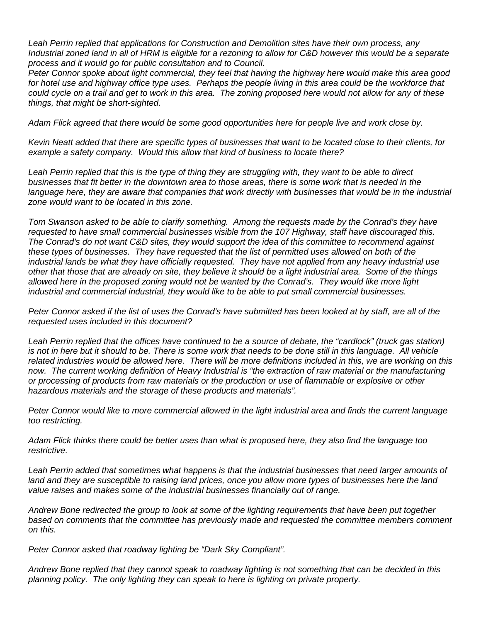*Leah Perrin replied that applications for Construction and Demolition sites have their own process, any Industrial zoned land in all of HRM is eligible for a rezoning to allow for C&D however this would be a separate process and it would go for public consultation and to Council.*

*Peter Connor spoke about light commercial, they feel that having the highway here would make this area good*  for hotel use and highway office type uses. Perhaps the people living in this area could be the workforce that *could cycle on a trail and get to work in this area. The zoning proposed here would not allow for any of these things, that might be short-sighted.*

*Adam Flick agreed that there would be some good opportunities here for people live and work close by.*

*Kevin Neatt added that there are specific types of businesses that want to be located close to their clients, for example a safety company. Would this allow that kind of business to locate there?*

*Leah Perrin replied that this is the type of thing they are struggling with, they want to be able to direct businesses that fit better in the downtown area to those areas, there is some work that is needed in the*  language here, they are aware that companies that work directly with businesses that would be in the industrial *zone would want to be located in this zone.*

*Tom Swanson asked to be able to clarify something. Among the requests made by the Conrad's they have requested to have small commercial businesses visible from the 107 Highway, staff have discouraged this. The Conrad's do not want C&D sites, they would support the idea of this committee to recommend against these types of businesses. They have requested that the list of permitted uses allowed on both of the industrial lands be what they have officially requested. They have not applied from any heavy industrial use other that those that are already on site, they believe it should be a light industrial area. Some of the things allowed here in the proposed zoning would not be wanted by the Conrad's. They would like more light industrial and commercial industrial, they would like to be able to put small commercial businesses.* 

*Peter Connor asked if the list of uses the Conrad's have submitted has been looked at by staff, are all of the requested uses included in this document?*

Leah Perrin replied that the offices have continued to be a source of debate, the "cardlock" (truck gas station) *is not in here but it should to be. There is some work that needs to be done still in this language. All vehicle*  related industries would be allowed here. There will be more definitions included in this, we are working on this now. The current working definition of Heavy Industrial is "the extraction of raw material or the manufacturing *or processing of products from raw materials or the production or use of flammable or explosive or other hazardous materials and the storage of these products and materials".*

*Peter Connor would like to more commercial allowed in the light industrial area and finds the current language too restricting.*

*Adam Flick thinks there could be better uses than what is proposed here, they also find the language too restrictive.*

*Leah Perrin added that sometimes what happens is that the industrial businesses that need larger amounts of land and they are susceptible to raising land prices, once you allow more types of businesses here the land value raises and makes some of the industrial businesses financially out of range.*

*Andrew Bone redirected the group to look at some of the lighting requirements that have been put together based on comments that the committee has previously made and requested the committee members comment on this.*

*Peter Connor asked that roadway lighting be "Dark Sky Compliant".*

*Andrew Bone replied that they cannot speak to roadway lighting is not something that can be decided in this planning policy. The only lighting they can speak to here is lighting on private property.*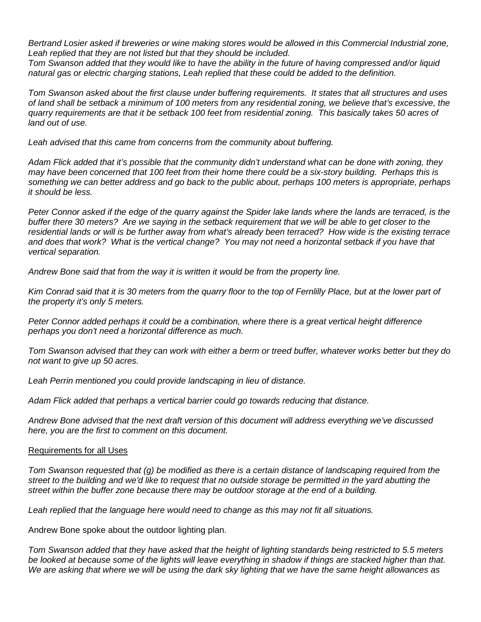*Bertrand Losier asked if breweries or wine making stores would be allowed in this Commercial Industrial zone, Leah replied that they are not listed but that they should be included.*

*Tom Swanson added that they would like to have the ability in the future of having compressed and/or liquid natural gas or electric charging stations, Leah replied that these could be added to the definition.*

*Tom Swanson asked about the first clause under buffering requirements. It states that all structures and uses of land shall be setback a minimum of 100 meters from any residential zoning, we believe that's excessive, the quarry requirements are that it be setback 100 feet from residential zoning. This basically takes 50 acres of land out of use.*

*Leah advised that this came from concerns from the community about buffering.*

*Adam Flick added that it's possible that the community didn't understand what can be done with zoning, they may have been concerned that 100 feet from their home there could be a six-story building. Perhaps this is something we can better address and go back to the public about, perhaps 100 meters is appropriate, perhaps it should be less.*

Peter Connor asked if the edge of the quarry against the Spider lake lands where the lands are terraced, is the *buffer there 30 meters? Are we saying in the setback requirement that we will be able to get closer to the residential lands or will is be further away from what's already been terraced? How wide is the existing terrace and does that work? What is the vertical change? You may not need a horizontal setback if you have that vertical separation.*

*Andrew Bone said that from the way it is written it would be from the property line.*

*Kim Conrad said that it is 30 meters from the quarry floor to the top of Fernlilly Place, but at the lower part of the property it's only 5 meters.*

*Peter Connor added perhaps it could be a combination, where there is a great vertical height difference perhaps you don't need a horizontal difference as much.*

*Tom Swanson advised that they can work with either a berm or treed buffer, whatever works better but they do not want to give up 50 acres.*

*Leah Perrin mentioned you could provide landscaping in lieu of distance.*

Adam Flick added that perhaps a vertical barrier could go towards reducing that distance.

*Andrew Bone advised that the next draft version of this document will address everything we've discussed here, you are the first to comment on this document.* 

#### Requirements for all Uses

*Tom Swanson requested that (g) be modified as there is a certain distance of landscaping required from the street to the building and we'd like to request that no outside storage be permitted in the yard abutting the street within the buffer zone because there may be outdoor storage at the end of a building.*

*Leah replied that the language here would need to change as this may not fit all situations.*

Andrew Bone spoke about the outdoor lighting plan.

*Tom Swanson added that they have asked that the height of lighting standards being restricted to 5.5 meters be looked at because some of the lights will leave everything in shadow if things are stacked higher than that. We are asking that where we will be using the dark sky lighting that we have the same height allowances as*